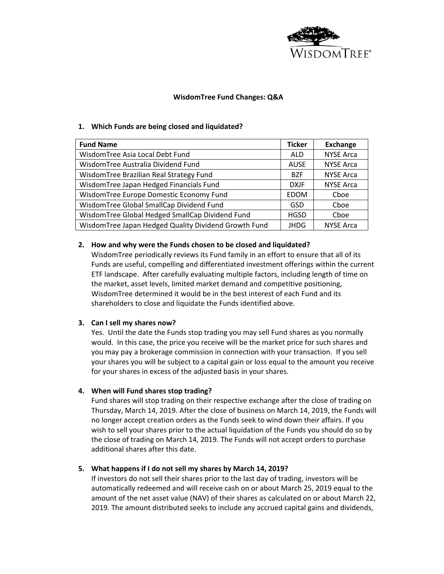

# **WisdomTree Fund Changes: Q&A**

# **1. Which Funds are being closed and liquidated?**

| <b>Fund Name</b>                                     | <b>Ticker</b> | <b>Exchange</b>  |
|------------------------------------------------------|---------------|------------------|
| WisdomTree Asia Local Debt Fund                      | <b>ALD</b>    | <b>NYSE Arca</b> |
| WisdomTree Australia Dividend Fund                   | <b>AUSE</b>   | <b>NYSE Arca</b> |
| WisdomTree Brazilian Real Strategy Fund              | <b>BZF</b>    | <b>NYSE Arca</b> |
| WisdomTree Japan Hedged Financials Fund              | <b>DXJF</b>   | <b>NYSE Arca</b> |
| WisdomTree Europe Domestic Economy Fund              | <b>EDOM</b>   | Cboe             |
| WisdomTree Global SmallCap Dividend Fund             | GSD           | Cboe             |
| WisdomTree Global Hedged SmallCap Dividend Fund      | <b>HGSD</b>   | Cboe             |
| WisdomTree Japan Hedged Quality Dividend Growth Fund | JHDG          | <b>NYSE Arca</b> |

# **2. How and why were the Funds chosen to be closed and liquidated?**

WisdomTree periodically reviews its Fund family in an effort to ensure that all of its Funds are useful, compelling and differentiated investment offerings within the current ETF landscape. After carefully evaluating multiple factors, including length of time on the market, asset levels, limited market demand and competitive positioning, WisdomTree determined it would be in the best interest of each Fund and its shareholders to close and liquidate the Funds identified above.

### **3. Can I sell my shares now?**

Yes. Until the date the Funds stop trading you may sell Fund shares as you normally would. In this case, the price you receive will be the market price for such shares and you may pay a brokerage commission in connection with your transaction. If you sell your shares you will be subject to a capital gain or loss equal to the amount you receive for your shares in excess of the adjusted basis in your shares.

### **4. When will Fund shares stop trading?**

Fund shares will stop trading on their respective exchange after the close of trading on Thursday, March 14, 2019. After the close of business on March 14, 2019, the Funds will no longer accept creation orders as the Funds seek to wind down their affairs. If you wish to sell your shares prior to the actual liquidation of the Funds you should do so by the close of trading on March 14, 2019. The Funds will not accept orders to purchase additional shares after this date.

### **5. What happens if I do not sell my shares by March 14, 2019?**

If investors do not sell their shares prior to the last day of trading, investors will be automatically redeemed and will receive cash on or about March 25, 2019 equal to the amount of the net asset value (NAV) of their shares as calculated on or about March 22, 2019. The amount distributed seeks to include any accrued capital gains and dividends,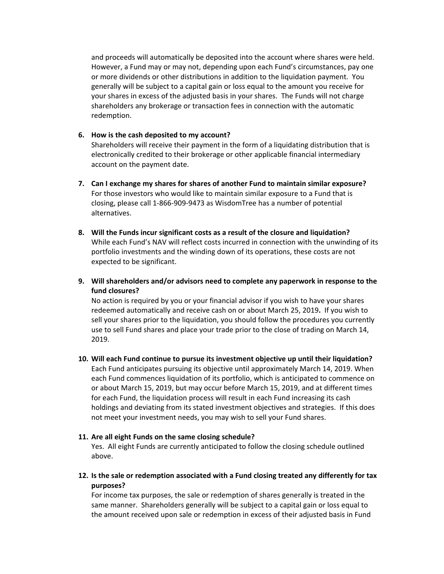and proceeds will automatically be deposited into the account where shares were held. However, a Fund may or may not, depending upon each Fund's circumstances, pay one or more dividends or other distributions in addition to the liquidation payment. You generally will be subject to a capital gain or loss equal to the amount you receive for your shares in excess of the adjusted basis in your shares. The Funds will not charge shareholders any brokerage or transaction fees in connection with the automatic redemption.

#### **6. How is the cash deposited to my account?**

Shareholders will receive their payment in the form of a liquidating distribution that is electronically credited to their brokerage or other applicable financial intermediary account on the payment date.

- **7. Can I exchange my shares for shares of another Fund to maintain similar exposure?** For those investors who would like to maintain similar exposure to a Fund that is closing, please call 1-866-909-9473 as WisdomTree has a number of potential alternatives.
- **8. Will the Funds incur significant costs as a result of the closure and liquidation?** While each Fund's NAV will reflect costs incurred in connection with the unwinding of its portfolio investments and the winding down of its operations, these costs are not expected to be significant.
- **9. Will shareholders and/or advisors need to complete any paperwork in response to the fund closures?**

No action is required by you or your financial advisor if you wish to have your shares redeemed automatically and receive cash on or about March 25, 2019**.** If you wish to sell your shares prior to the liquidation, you should follow the procedures you currently use to sell Fund shares and place your trade prior to the close of trading on March 14, 2019.

**10. Will each Fund continue to pursue its investment objective up until their liquidation?** Each Fund anticipates pursuing its objective until approximately March 14, 2019. When each Fund commences liquidation of its portfolio, which is anticipated to commence on or about March 15, 2019, but may occur before March 15, 2019, and at different times for each Fund, the liquidation process will result in each Fund increasing its cash holdings and deviating from its stated investment objectives and strategies. If this does not meet your investment needs, you may wish to sell your Fund shares.

### **11. Are all eight Funds on the same closing schedule?**

Yes. All eight Funds are currently anticipated to follow the closing schedule outlined above.

**12. Is the sale or redemption associated with a Fund closing treated any differently for tax purposes?**

For income tax purposes, the sale or redemption of shares generally is treated in the same manner. Shareholders generally will be subject to a capital gain or loss equal to the amount received upon sale or redemption in excess of their adjusted basis in Fund